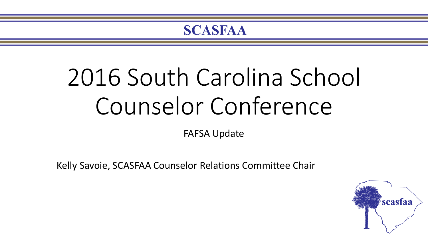# 2016 South Carolina School Counselor Conference

FAFSA Update

Kelly Savoie, SCASFAA Counselor Relations Committee Chair

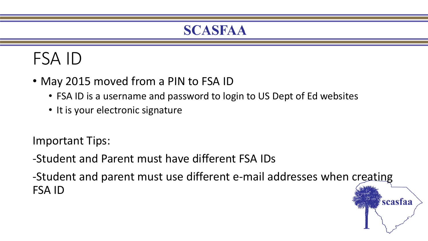### FSA ID

- May 2015 moved from a PIN to FSA ID
	- FSA ID is a username and password to login to US Dept of Ed websites
	- It is your electronic signature

Important Tips:

-Student and Parent must have different FSA IDs

-Student and parent must use different e-mail addresses when creating FSA ID

scasfaa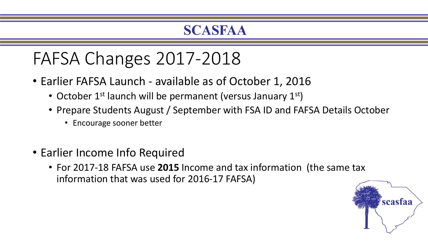### FAFSA Changes 2017-2018

- Earlier FAFSA Launch available as of October 1, 2016
	- October  $1^{st}$  launch will be permanent (versus January  $1^{st}$ )
	- Prepare Students August / September with FSA ID and FAFSA Details October
		- Encourage sooner better
- Earlier Income Info Required
	- For 2017-18 FAFSA use **2015** Income and tax information (the same tax information that was used for 2016-17 FAFSA)

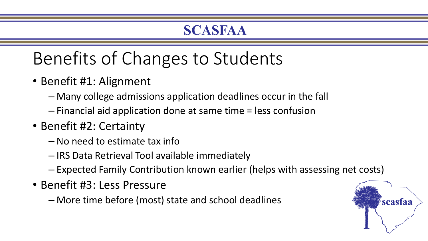## Benefits of Changes to Students

- Benefit #1: Alignment
	- Many college admissions application deadlines occur in the fall
	- Financial aid application done at same time = less confusion
- Benefit #2: Certainty
	- No need to estimate tax info
	- IRS Data Retrieval Tool available immediately
	- Expected Family Contribution known earlier (helps with assessing net costs)
- Benefit #3: Less Pressure
	- More time before (most) state and school deadlines